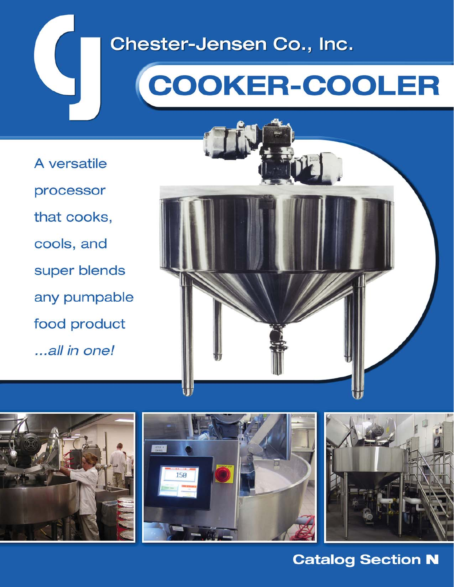## Chester-Jensen Co., Inc.

# **COOKER-COOLER**

A versatile processor that cooks, cools, and super blends any pumpable food product ...all in one!









## **Catalog Section N**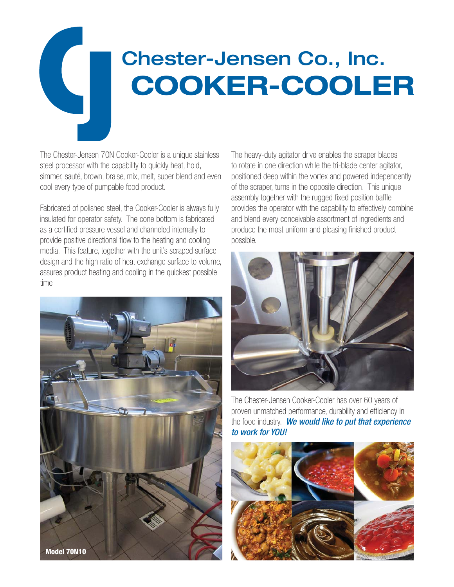# Chester-Jensen Co., Inc. **COOKER-COOLER**

The Chester-Jensen 70N Cooker-Cooler is a unique stainless steel processor with the capability to quickly heat, hold, simmer, sauté, brown, braise, mix, melt, super blend and even cool every type of pumpable food product.

Fabricated of polished steel, the Cooker-Cooler is always fully insulated for operator safety. The cone bottom is fabricated as a certified pressure vessel and channeled internally to provide positive directional flow to the heating and cooling media. This feature, together with the unit's scraped surface design and the high ratio of heat exchange surface to volume, assures product heating and cooling in the quickest possible time.



The heavy-duty agitator drive enables the scraper blades to rotate in one direction while the tri-blade center agitator, positioned deep within the vortex and powered independently of the scraper, turns in the opposite direction. This unique assembly together with the rugged fixed position baffle provides the operator with the capability to effectively combine and blend every conceivable assortment of ingredients and produce the most uniform and pleasing finished product possible.



The Chester-Jensen Cooker-Cooler has over 60 years of proven unmatched performance, durability and efficiency in the food industry. We would like to put that experience to work for YOU!

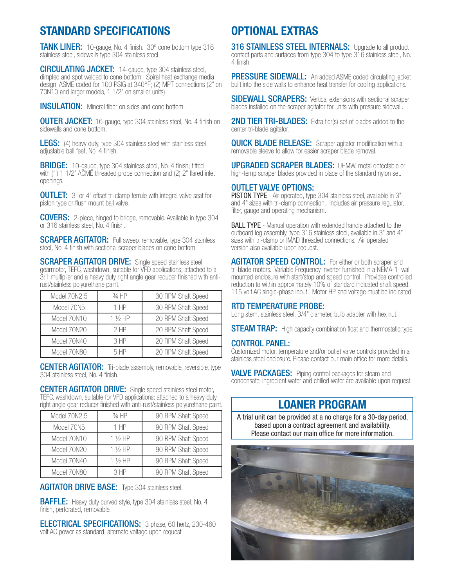## **STANDARD SPECIFICATIONS**

**TANK LINER:** 10-gauge, No. 4 finish. 30° cone bottom type 316 stainless steel, sidewalls type 304 stainless steel.

CIRCULATING JACKET: 14-gauge, type 304 stainless steel, dimpled and spot welded to cone bottom. Spiral heat exchange media design, ASME coded for 100 PSIG at 340°F; (2) MPT connections (2" on 70N10 and larger models, 1 1/2" on smaller units).

**INSULATION:** Mineral fiber on sides and cone bottom.

**OUTER JACKET:** 16-gauge, type 304 stainless steel, No. 4 finish on sidewalls and cone bottom.

**LEGS:** (4) heavy duty, type 304 stainless steel with stainless steel adjustable ball feet, No. 4 finish.

**BRIDGE:** 10-gauge, type 304 stainless steel, No. 4 finish; fitted with (1) 1 1/2" ACME threaded probe connection and (2) 2" flared inlet openings.

**OUTLET:** 3" or 4" offset tri-clamp ferrule with integral valve seat for piston type or flush mount ball valve.

COVERS: 2-piece, hinged to bridge, removable. Available in type 304 or 316 stainless steel, No. 4 finish.

**SCRAPER AGITATOR:** Full sweep, removable, type 304 stainless steel, No. 4 finish with sectional scraper blades on cone bottom.

**SCRAPER AGITATOR DRIVE:** Single speed stainless steel gearmotor, TEFC, washdown, suitable for VFD applications; attached to a 3:1 multiplier and a heavy duty right angle gear reducer finished with antirust/stainless polyurethane paint.

| Model 70N2.5 | $3/4$ HP          | 30 RPM Shaft Speed |  |  |
|--------------|-------------------|--------------------|--|--|
| Model 70N5   | 1 HP              | 30 RPM Shaft Speed |  |  |
| Model 70N10  | $1\frac{1}{2}$ HP | 20 RPM Shaft Speed |  |  |
| Model 70N20  | 2HP               | 20 RPM Shaft Speed |  |  |
| Model 70N40  | 3HP               | 20 RPM Shaft Speed |  |  |
| Model 70N80  | 5HP               | 20 RPM Shaft Speed |  |  |

**CENTER AGITATOR:** Tri-blade assembly, removable, reversible, type 304 stainless steel, No. 4 finish.

**CENTER AGITATOR DRIVE:** Single speed stainless steel motor, TEFC, washdown, suitable for VFD applications; attached to a heavy duty right angle gear reducer finished with anti-rust/stainless polyurethane paint.

| Model 70N2.5 | 3⁄4 HP            | 90 RPM Shaft Speed |
|--------------|-------------------|--------------------|
| Model 70N5   | $1$ HP            | 90 RPM Shaft Speed |
| Model 70N10  | $1\frac{1}{2}$ HP | 90 RPM Shaft Speed |
| Model 70N20  | $1\frac{1}{2}$ HP | 90 RPM Shaft Speed |
| Model 70N40  | $1\frac{1}{2}$ HP | 90 RPM Shaft Speed |
| Model 70N80  | 3HP               | 90 RPM Shaft Speed |

**AGITATOR DRIVE BASE:** Type 304 stainless steel.

**BAFFLE:** Heavy duty curved style, type 304 stainless steel, No. 4 finish, perforated, removable.

ELECTRICAL SPECIFICATIONS: 3 phase, 60 hertz, 230-460 volt AC power as standard; alternate voltage upon request

## **OPTIONAL EXTRAS**

316 STAINLESS STEEL INTERNALS: Upgrade to all product contact parts and surfaces from type 304 to type 316 stainless steel, No. 4 finish.

**PRESSURE SIDEWALL:** An added ASME coded circulating jacket built into the side walls to enhance heat transfer for cooling applications.

**SIDEWALL SCRAPERS:** Vertical extensions with sectional scraper blades installed on the scraper agitator for units with pressure sidewall.

**2ND TIER TRI-BLADES:** Extra tier(s) set of blades added to the center tri-blade agitator.

**QUICK BLADE RELEASE:** Scraper agitator modification with a removable sleeve to allow for easier scraper blade removal.

UPGRADED SCRAPER BLADES: UHMW, metal detectable or high-temp scraper blades provided in place of the standard nylon set.

#### OUTLET VALVE OPTIONS:

PISTON TYPE - Air operated, type 304 stainless steel, available in 3" and 4" sizes with tri-clamp connection. Includes air pressure regulator, filter, gauge and operating mechanism.

**BALL TYPE** - Manual operation with extended handle attached to the outboard leg assembly, type 316 stainless steel, available in 3" and 4" sizes with tri-clamp or IMAD threaded connections. Air operated version also available upon request.

AGITATOR SPEED CONTROL: For either or both scraper and tri-blade motors. Variable Frequency Inverter furnished in a NEMA-1, wall mounted enclosure with start/stop and speed control. Provides controlled reduction to within approximately 10% of standard indicated shaft speed. 115 volt AC single-phase input. Motor HP and voltage must be indicated.

#### RTD TEMPERATURE PROBE:

Long stem, stainless steel, 3/4" diameter, bulb adapter with hex nut.

**STEAM TRAP:** High capacity combination float and thermostatic type.

#### CONTROL PANEL:

Customized motor, temperature and/or outlet valve controls provided in a stainless steel enclosure. Please contact our main office for more details.

**VALVE PACKAGES:** Piping control packages for steam and condensate, ingredient water and chilled water are available upon request.

### **LOANER PROGRAM**

A trial unit can be provided at a no charge for a 30-day period, based upon a contract agreement and availability. Please contact our main office for more information.